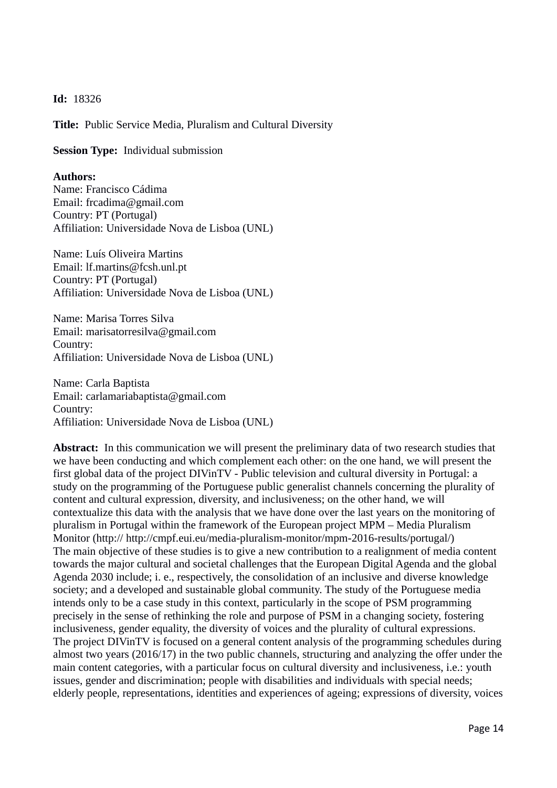**Id:** 18326

**Title:** Public Service Media, Pluralism and Cultural Diversity

**Session Type:** Individual submission

## **Authors:**

Name: Francisco Cádima Email: frcadima@gmail.com Country: PT (Portugal) Affiliation: Universidade Nova de Lisboa (UNL)

Name: Luís Oliveira Martins Email: lf.martins@fcsh.unl.pt Country: PT (Portugal) Affiliation: Universidade Nova de Lisboa (UNL)

Name: Marisa Torres Silva Email: marisatorresilva@gmail.com Country: Affiliation: Universidade Nova de Lisboa (UNL)

Name: Carla Baptista Email: carlamariabaptista@gmail.com Country: Affiliation: Universidade Nova de Lisboa (UNL)

**Abstract:** In this communication we will present the preliminary data of two research studies that we have been conducting and which complement each other: on the one hand, we will present the first global data of the project DIVinTV - Public television and cultural diversity in Portugal: a study on the programming of the Portuguese public generalist channels concerning the plurality of content and cultural expression, diversity, and inclusiveness; on the other hand, we will contextualize this data with the analysis that we have done over the last years on the monitoring of pluralism in Portugal within the framework of the European project MPM – Media Pluralism Monitor (http:// http://cmpf.eui.eu/media-pluralism-monitor/mpm-2016-results/portugal/) The main objective of these studies is to give a new contribution to a realignment of media content towards the major cultural and societal challenges that the European Digital Agenda and the global Agenda 2030 include; i. e., respectively, the consolidation of an inclusive and diverse knowledge society; and a developed and sustainable global community. The study of the Portuguese media intends only to be a case study in this context, particularly in the scope of PSM programming precisely in the sense of rethinking the role and purpose of PSM in a changing society, fostering inclusiveness, gender equality, the diversity of voices and the plurality of cultural expressions. The project DIVinTV is focused on a general content analysis of the programming schedules during almost two years (2016/17) in the two public channels, structuring and analyzing the offer under the main content categories, with a particular focus on cultural diversity and inclusiveness, i.e.: youth issues, gender and discrimination; people with disabilities and individuals with special needs; elderly people, representations, identities and experiences of ageing; expressions of diversity, voices